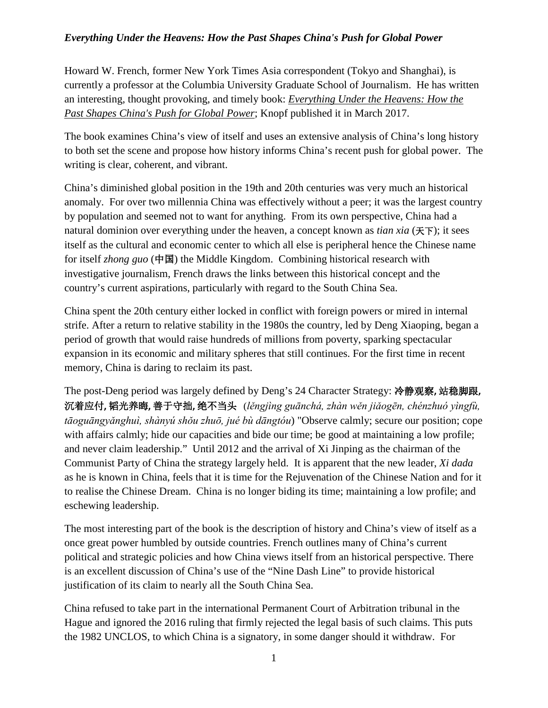## *Everything Under the Heavens: How the Past Shapes China's Push for Global Power*

Howard W. French, former New York Times Asia correspondent (Tokyo and Shanghai), is currently a professor at the Columbia University Graduate School of Journalism. He has written an interesting, thought provoking, and timely book: *Everything Under the Heavens: How the Past Shapes China's Push for Global Power*; Knopf published it in March 2017.

The book examines China's view of itself and uses an extensive analysis of China's long history to both set the scene and propose how history informs China's recent push for global power. The writing is clear, coherent, and vibrant.

China's diminished global position in the 19th and 20th centuries was very much an historical anomaly. For over two millennia China was effectively without a peer; it was the largest country by population and seemed not to want for anything. From its own perspective, China had a natural dominion over everything under the heaven, a concept known as *tian xia* (天下); it sees itself as the cultural and economic center to which all else is peripheral hence the Chinese name for itself *zhong guo* (中国) the Middle Kingdom. Combining historical research with investigative journalism, French draws the links between this historical concept and the country's current aspirations, particularly with regard to the South China Sea.

China spent the 20th century either locked in conflict with foreign powers or mired in internal strife. After a return to relative stability in the 1980s the country, led by Deng Xiaoping, began a period of growth that would raise hundreds of millions from poverty, sparking spectacular expansion in its economic and military spheres that still continues. For the first time in recent memory, China is daring to reclaim its past.

The post-Deng period was largely defined by Deng's 24 Character Strategy: 冷静观察**,** 站稳脚跟**,**  沉着应付**,** 韬光养晦**,** 善于守拙**,** 绝不当头(*lěngjìng guānchá, zhàn wěn jiǎogēn, chénzhuó yìngfù, tāoguāngyǎnghuì, shànyú shǒu zhuō, jué bù dāngtóu*) "Observe calmly; secure our position; cope with affairs calmly; hide our capacities and bide our time; be good at maintaining a low profile; and never claim leadership." Until 2012 and the arrival of Xi Jinping as the chairman of the Communist Party of China the strategy largely held. It is apparent that the new leader, *Xi dada* as he is known in China, feels that it is time for the Rejuvenation of the Chinese Nation and for it to realise the Chinese Dream. China is no longer biding its time; maintaining a low profile; and eschewing leadership.

The most interesting part of the book is the description of history and China's view of itself as a once great power humbled by outside countries. French outlines many of China's current political and strategic policies and how China views itself from an historical perspective. There is an excellent discussion of China's use of the "Nine Dash Line" to provide historical justification of its claim to nearly all the South China Sea.

China refused to take part in the international Permanent Court of Arbitration tribunal in the Hague and ignored the 2016 ruling that firmly rejected the legal basis of such claims. This puts the 1982 UNCLOS, to which China is a signatory, in some danger should it withdraw. For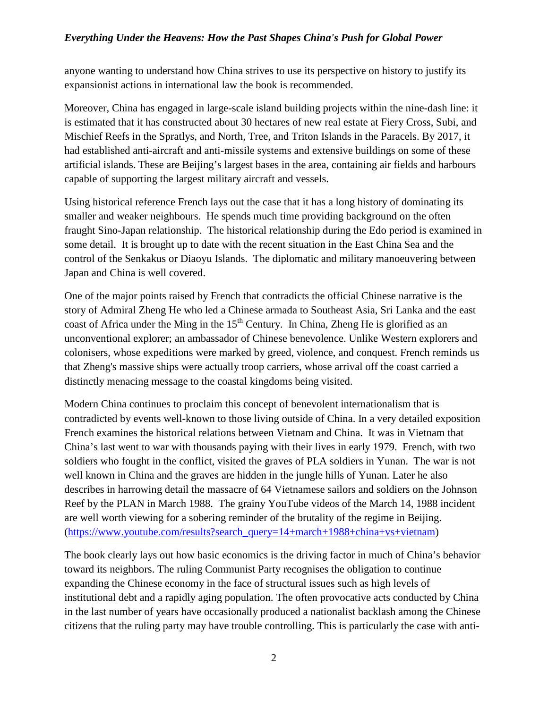## *Everything Under the Heavens: How the Past Shapes China's Push for Global Power*

anyone wanting to understand how China strives to use its perspective on history to justify its expansionist actions in international law the book is recommended.

Moreover, China has engaged in large-scale island building projects within the nine-dash line: it is estimated that it has constructed about 30 hectares of new real estate at Fiery Cross, Subi, and Mischief Reefs in the Spratlys, and North, Tree, and Triton Islands in the Paracels. By 2017, it had established anti-aircraft and anti-missile systems and extensive buildings on some of these artificial islands. These are Beijing's largest bases in the area, containing air fields and harbours capable of supporting the largest military aircraft and vessels.

Using historical reference French lays out the case that it has a long history of dominating its smaller and weaker neighbours. He spends much time providing background on the often fraught Sino-Japan relationship. The historical relationship during the Edo period is examined in some detail. It is brought up to date with the recent situation in the East China Sea and the control of the Senkakus or Diaoyu Islands. The diplomatic and military manoeuvering between Japan and China is well covered.

One of the major points raised by French that contradicts the official Chinese narrative is the story of Admiral Zheng He who led a Chinese armada to Southeast Asia, Sri Lanka and the east coast of Africa under the Ming in the  $15<sup>th</sup>$  Century. In China, Zheng He is glorified as an unconventional explorer; an ambassador of Chinese benevolence. Unlike Western explorers and colonisers, whose expeditions were marked by greed, violence, and conquest. French reminds us that Zheng's massive ships were actually troop carriers, whose arrival off the coast carried a distinctly menacing message to the coastal kingdoms being visited.

Modern China continues to proclaim this concept of benevolent internationalism that is contradicted by events well-known to those living outside of China. In a very detailed exposition French examines the historical relations between Vietnam and China. It was in Vietnam that China's last went to war with thousands paying with their lives in early 1979. French, with two soldiers who fought in the conflict, visited the graves of PLA soldiers in Yunan. The war is not well known in China and the graves are hidden in the jungle hills of Yunan. Later he also describes in harrowing detail the massacre of 64 Vietnamese sailors and soldiers on the Johnson Reef by the PLAN in March 1988. The grainy YouTube videos of the March 14, 1988 incident are well worth viewing for a sobering reminder of the brutality of the regime in Beijing. [\(https://www.youtube.com/results?search\\_query=14+march+1988+china+vs+vietnam\)](https://www.youtube.com/results?search_query=14+march+1988+china+vs+vietnam)

The book clearly lays out how basic economics is the driving factor in much of China's behavior toward its neighbors. The ruling Communist Party recognises the obligation to continue expanding the Chinese economy in the face of structural issues such as high levels of institutional debt and a rapidly aging population. The often provocative acts conducted by China in the last number of years have occasionally produced a nationalist backlash among the Chinese citizens that the ruling party may have trouble controlling. This is particularly the case with anti-